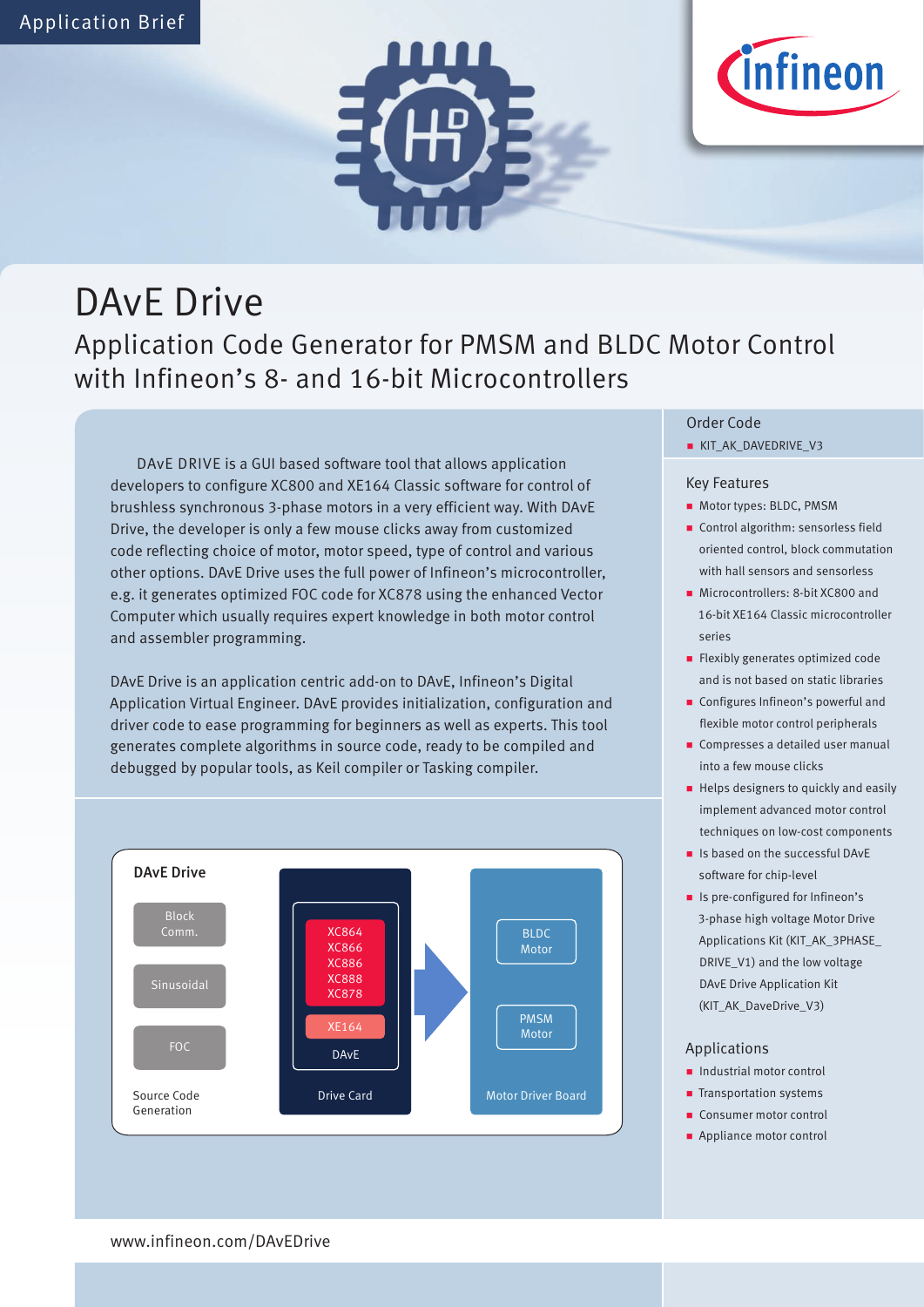



# DAvE Drive

### Application Code Generator for PMSM and BLDC Motor Control with Infineon's 8- and 16-bit Microcontrollers

DAvE DRIVE is a GUI based software tool that allows application developers to configure XC800 and XE164 Classic software for control of brushless synchronous 3-phase motors in a very efficient way. With DAvE Drive, the developer is only a few mouse clicks away from customized code reflecting choice of motor, motor speed, type of control and various other options. DAvE Drive uses the full power of Infineon's microcontroller, e.g. it generates optimized FOC code for XC878 using the enhanced Vector Computer which usually requires expert knowledge in both motor control and assembler programming.

DAvE Drive is an application centric add-on to DAvE, Infineon's Digital Application Virtual Engineer. DAvE provides initialization, configuration and driver code to ease programming for beginners as well as experts. This tool generates complete algorithms in source code, ready to be compiled and debugged by popular tools, as Keil compiler or Tasking compiler.



#### Order Code

KIT\_AK\_DAVEDRIVE\_V3

#### Key Features

- Motor types: BLDC, PMSM
- Control algorithm: sensorless field oriented control, block commutation with hall sensors and sensorless
- Microcontrollers: 8-bit XC800 and 16-bit XE164 Classic microcontroller series
- **Flexibly generates optimized code** and is not based on static libraries
- **Configures Infineon's powerful and** flexible motor control peripherals
- **Compresses a detailed user manual** into a few mouse clicks
- Helps designers to quickly and easily implement advanced motor control techniques on low-cost components
- **In Is based on the successful DAvE** software for chip-level
- **In Its pre-configured for Infineon's** 3-phase high voltage Motor Drive Applications Kit (KIT\_AK\_3PHASE\_ DRIVE\_V1) and the low voltage DAvE Drive Application Kit (KIT\_AK\_DaveDrive\_V3)

#### Applications

- **Industrial motor control**
- **Transportation systems**
- Consumer motor control
- **Appliance motor control**